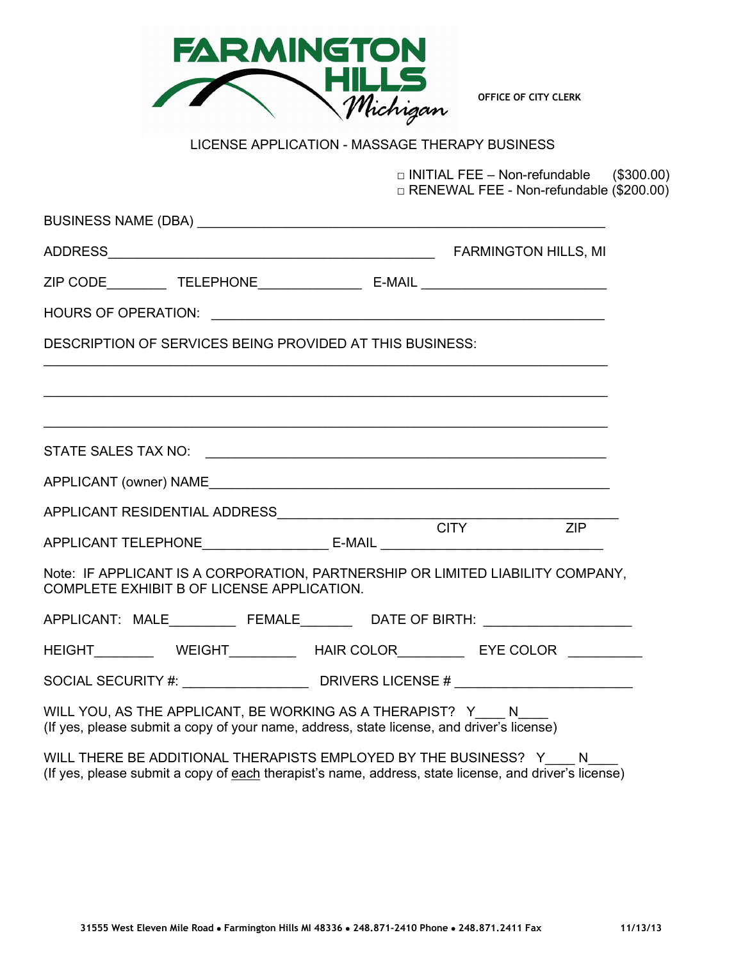

**OFFICE OF CITY CLERK**

# LICENSE APPLICATION - MASSAGE THERAPY BUSINESS

□ INITIAL FEE – Non-refundable (\$300.00) □ RENEWAL FEE - Non-refundable (\$200.00)

| DESCRIPTION OF SERVICES BEING PROVIDED AT THIS BUSINESS:                                                                                                |  |  |   |  |  |
|---------------------------------------------------------------------------------------------------------------------------------------------------------|--|--|---|--|--|
|                                                                                                                                                         |  |  |   |  |  |
|                                                                                                                                                         |  |  |   |  |  |
|                                                                                                                                                         |  |  |   |  |  |
|                                                                                                                                                         |  |  |   |  |  |
|                                                                                                                                                         |  |  |   |  |  |
| APPLICANT TELEPHONE_______________________________E-MAIL ________________________                                                                       |  |  |   |  |  |
| Note: IF APPLICANT IS A CORPORATION, PARTNERSHIP OR LIMITED LIABILITY COMPANY,<br>COMPLETE EXHIBIT B OF LICENSE APPLICATION.                            |  |  |   |  |  |
| APPLICANT: MALE_____________FEMALE___________DATE OF BIRTH: ____________________                                                                        |  |  |   |  |  |
| HEIGHT WEIGHT HAIR COLOR EYE COLOR                                                                                                                      |  |  |   |  |  |
| SOCIAL SECURITY #: _____________________________DRIVERS LICENSE # __________________________________                                                    |  |  |   |  |  |
| WILL YOU, AS THE APPLICANT, BE WORKING AS A THERAPIST? Y N<br>(If yes, please submit a copy of your name, address, state license, and driver's license) |  |  |   |  |  |
| WILL THERE BE ADDITIONAL THERAPISTS EMPLOYED BY THE BUSINESS? Y                                                                                         |  |  | N |  |  |

(If yes, please submit a copy of each therapist's name, address, state license, and driver's license)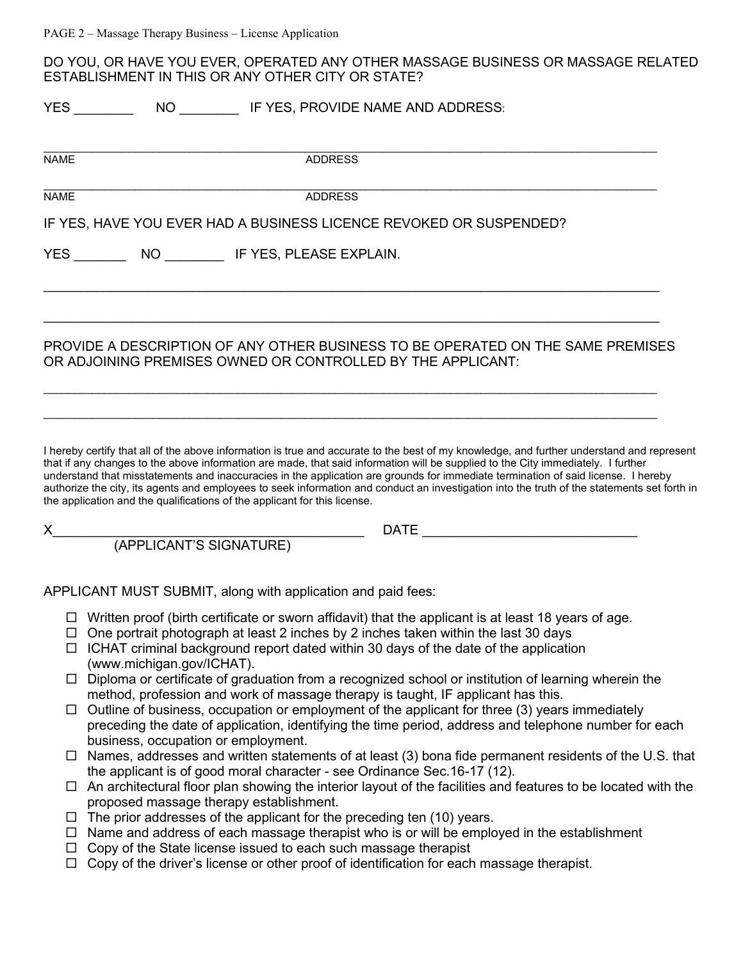DO YOU, OR HAVE YOU EVER, OPERATED ANY OTHER MASSAGE BUSINESS OR MASSAGE RELATED ESTABLISHMENT IN THIS OR ANY OTHER CITY OR STATE?

|             | <b>YES</b><br>NO IF YES, PROVIDE NAME AND ADDRESS:                                                                                                                                                                                                                                                                                                                                                                                                                                                                                                                                                                                             |  |  |  |  |
|-------------|------------------------------------------------------------------------------------------------------------------------------------------------------------------------------------------------------------------------------------------------------------------------------------------------------------------------------------------------------------------------------------------------------------------------------------------------------------------------------------------------------------------------------------------------------------------------------------------------------------------------------------------------|--|--|--|--|
| <b>NAME</b> | <b>ADDRESS</b>                                                                                                                                                                                                                                                                                                                                                                                                                                                                                                                                                                                                                                 |  |  |  |  |
| <b>NAME</b> | <b>ADDRESS</b>                                                                                                                                                                                                                                                                                                                                                                                                                                                                                                                                                                                                                                 |  |  |  |  |
|             | IF YES, HAVE YOU EVER HAD A BUSINESS LICENCE REVOKED OR SUSPENDED?                                                                                                                                                                                                                                                                                                                                                                                                                                                                                                                                                                             |  |  |  |  |
|             |                                                                                                                                                                                                                                                                                                                                                                                                                                                                                                                                                                                                                                                |  |  |  |  |
|             | PROVIDE A DESCRIPTION OF ANY OTHER BUSINESS TO BE OPERATED ON THE SAME PREMISES                                                                                                                                                                                                                                                                                                                                                                                                                                                                                                                                                                |  |  |  |  |
|             | OR ADJOINING PREMISES OWNED OR CONTROLLED BY THE APPLICANT:                                                                                                                                                                                                                                                                                                                                                                                                                                                                                                                                                                                    |  |  |  |  |
|             |                                                                                                                                                                                                                                                                                                                                                                                                                                                                                                                                                                                                                                                |  |  |  |  |
|             | I hereby certify that all of the above information is true and accurate to the best of my knowledge, and further understand and represent<br>that if any changes to the above information are made, that said information will be supplied to the City immediately. I further<br>understand that misstatements and inaccuracies in the application are grounds for immediate termination of said license. I hereby<br>authorize the city, its agents and employees to seek information and conduct an investigation into the truth of the statements set forth in<br>the application and the qualifications of the applicant for this license. |  |  |  |  |
|             |                                                                                                                                                                                                                                                                                                                                                                                                                                                                                                                                                                                                                                                |  |  |  |  |
|             |                                                                                                                                                                                                                                                                                                                                                                                                                                                                                                                                                                                                                                                |  |  |  |  |
|             | APPLICANT MUST SUBMIT, along with application and paid fees:                                                                                                                                                                                                                                                                                                                                                                                                                                                                                                                                                                                   |  |  |  |  |
|             | $\Box$ Written proof (birth certificate or sworn affidavit) that the applicant is at least 18 years of age.<br>□ One portrait photograph at least 2 inches by 2 inches taken within the last 30 days<br>$\Box$ ICHAT criminal background report dated within 30 days of the date of the application<br>(www.michigan.gov/ICHAT).                                                                                                                                                                                                                                                                                                               |  |  |  |  |
| ⊔ -         | Diploma or certificate of graduation from a recognized school or institution of learning wherein the<br>method, profession and work of massage therapy is taught, IF applicant has this.                                                                                                                                                                                                                                                                                                                                                                                                                                                       |  |  |  |  |
|             | $\Box$ Outline of business, occupation or employment of the applicant for three (3) years immediately<br>preceding the date of application, identifying the time period, address and telephone number for each<br>business, occupation or employment.                                                                                                                                                                                                                                                                                                                                                                                          |  |  |  |  |
|             | $\Box$ Names, addresses and written statements of at least (3) bona fide permanent residents of the U.S. that<br>the applicant is of good moral character - see Ordinance Sec. 16-17 (12).                                                                                                                                                                                                                                                                                                                                                                                                                                                     |  |  |  |  |
|             | $\Box$ An architectural floor plan showing the interior layout of the facilities and features to be located with the<br>proposed massage therapy establishment.                                                                                                                                                                                                                                                                                                                                                                                                                                                                                |  |  |  |  |
|             | The prior addresses of the applicant for the preceding ten (10) years.                                                                                                                                                                                                                                                                                                                                                                                                                                                                                                                                                                         |  |  |  |  |

- $\Box$  Name and address of each massage therapist who is or will be employed in the establishment
- □ Copy of the State license issued to each such massage therapist
- $\Box$  Copy of the driver's license or other proof of identification for each massage therapist.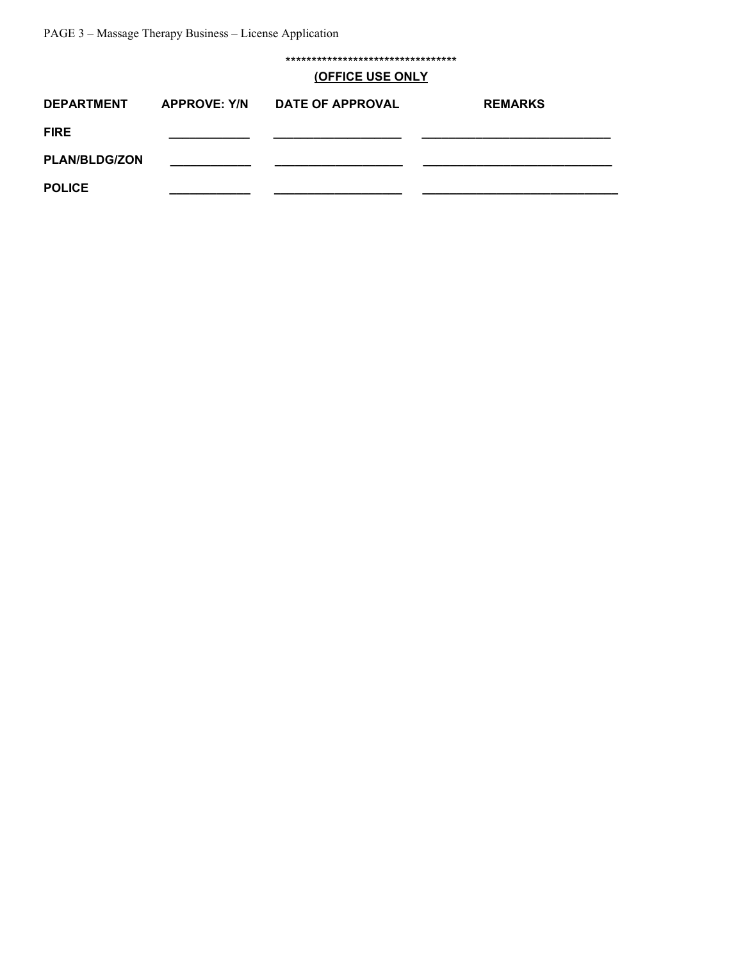\*\*\*\*\*\*\*\*\*\*\*\*\*\*\*\*\*\*\*\*\*\*\*\*\*\*\*\*\*\*\*\*\*

#### **(OFFICE USE ONLY**

| <b>DEPARTMENT</b>    | <b>APPROVE: Y/N</b> | <b>DATE OF APPROVAL</b> | <b>REMARKS</b> |
|----------------------|---------------------|-------------------------|----------------|
| <b>FIRE</b>          |                     |                         |                |
| <b>PLAN/BLDG/ZON</b> |                     |                         |                |
| <b>POLICE</b>        |                     |                         |                |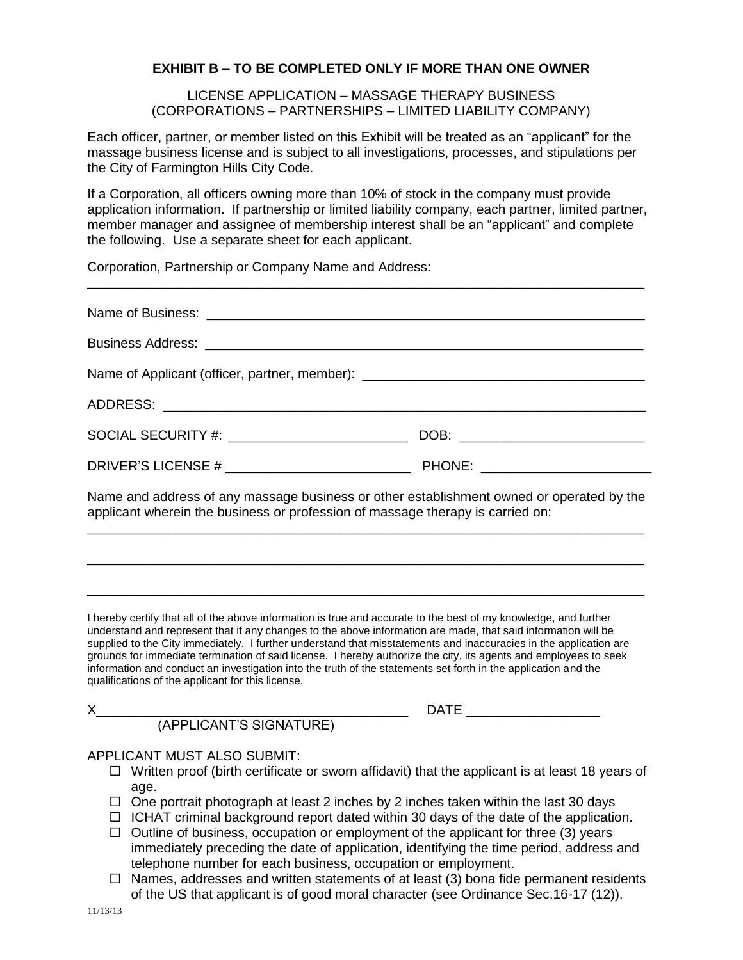## **EXHIBIT B – TO BE COMPLETED ONLY IF MORE THAN ONE OWNER**

LICENSE APPLICATION – MASSAGE THERAPY BUSINESS (CORPORATIONS – PARTNERSHIPS – LIMITED LIABILITY COMPANY)

Each officer, partner, or member listed on this Exhibit will be treated as an "applicant" for the massage business license and is subject to all investigations, processes, and stipulations per the City of Farmington Hills City Code.

If a Corporation, all officers owning more than 10% of stock in the company must provide application information. If partnership or limited liability company, each partner, limited partner, member manager and assignee of membership interest shall be an "applicant" and complete the following. Use a separate sheet for each applicant.

\_\_\_\_\_\_\_\_\_\_\_\_\_\_\_\_\_\_\_\_\_\_\_\_\_\_\_\_\_\_\_\_\_\_\_\_\_\_\_\_\_\_\_\_\_\_\_\_\_\_\_\_\_\_\_\_\_\_\_\_\_\_\_\_\_\_\_\_\_\_\_\_\_\_\_

Corporation, Partnership or Company Name and Address:

| Name of Applicant (officer, partner, member): ___________________________________        |  |  |  |  |  |
|------------------------------------------------------------------------------------------|--|--|--|--|--|
|                                                                                          |  |  |  |  |  |
|                                                                                          |  |  |  |  |  |
|                                                                                          |  |  |  |  |  |
| Name and address of any massage business or other establishment owned or operated by the |  |  |  |  |  |

Name and address of any massage business or other establishment owned or operated by the applicant wherein the business or profession of massage therapy is carried on: \_\_\_\_\_\_\_\_\_\_\_\_\_\_\_\_\_\_\_\_\_\_\_\_\_\_\_\_\_\_\_\_\_\_\_\_\_\_\_\_\_\_\_\_\_\_\_\_\_\_\_\_\_\_\_\_\_\_\_\_\_\_\_\_\_\_\_\_\_\_\_\_\_\_\_

\_\_\_\_\_\_\_\_\_\_\_\_\_\_\_\_\_\_\_\_\_\_\_\_\_\_\_\_\_\_\_\_\_\_\_\_\_\_\_\_\_\_\_\_\_\_\_\_\_\_\_\_\_\_\_\_\_\_\_\_\_\_\_\_\_\_\_\_\_\_\_\_\_\_\_

\_\_\_\_\_\_\_\_\_\_\_\_\_\_\_\_\_\_\_\_\_\_\_\_\_\_\_\_\_\_\_\_\_\_\_\_\_\_\_\_\_\_\_\_\_\_\_\_\_\_\_\_\_\_\_\_\_\_\_\_\_\_\_\_\_\_\_\_\_\_\_\_\_\_\_

I hereby certify that all of the above information is true and accurate to the best of my knowledge, and further understand and represent that if any changes to the above information are made, that said information will be supplied to the City immediately. I further understand that misstatements and inaccuracies in the application are grounds for immediate termination of said license. I hereby authorize the city, its agents and employees to seek information and conduct an investigation into the truth of the statements set forth in the application and the qualifications of the applicant for this license.

X\_\_\_\_\_\_\_\_\_\_\_\_\_\_\_\_\_\_\_\_\_\_\_\_\_\_\_\_\_\_\_\_\_\_\_\_\_\_\_\_\_\_ DATE \_\_\_\_\_\_\_\_\_\_\_\_\_\_\_\_\_\_

# (APPLICANT'S SIGNATURE)

## APPLICANT MUST ALSO SUBMIT:

- $\Box$  Written proof (birth certificate or sworn affidavit) that the applicant is at least 18 years of age.
- $\Box$  One portrait photograph at least 2 inches by 2 inches taken within the last 30 days
- $\Box$  ICHAT criminal background report dated within 30 days of the date of the application.
- $\Box$  Outline of business, occupation or employment of the applicant for three (3) years immediately preceding the date of application, identifying the time period, address and telephone number for each business, occupation or employment.
- $\Box$  Names, addresses and written statements of at least (3) bona fide permanent residents of the US that applicant is of good moral character (see Ordinance Sec.16-17 (12)).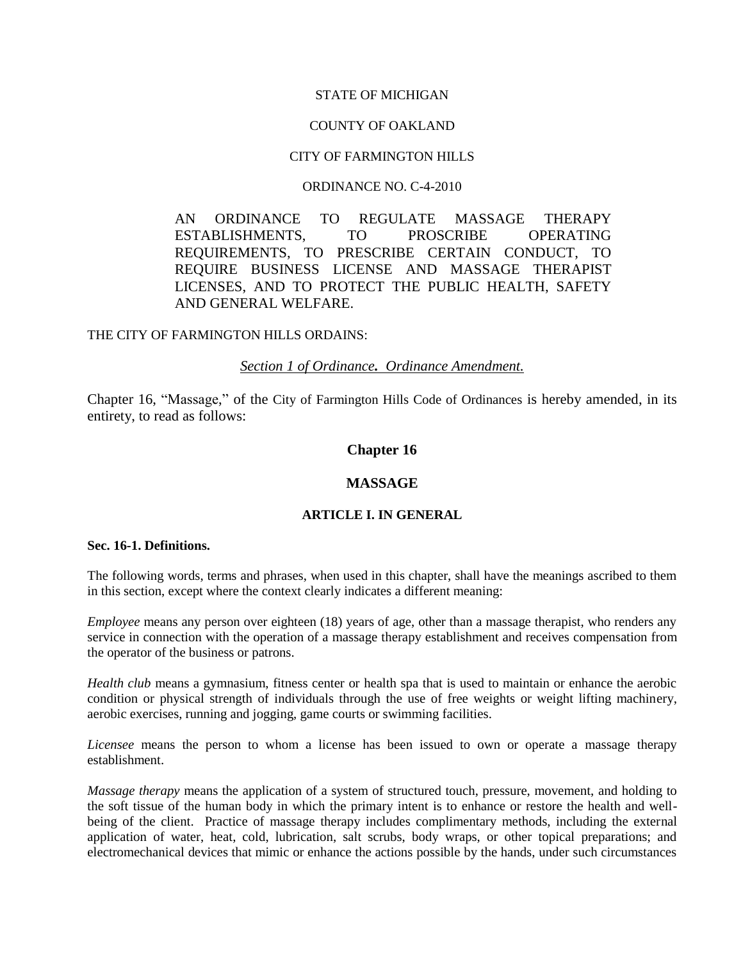#### STATE OF MICHIGAN

#### COUNTY OF OAKLAND

## CITY OF FARMINGTON HILLS

#### ORDINANCE NO. C-4-2010

AN ORDINANCE TO REGULATE MASSAGE THERAPY ESTABLISHMENTS, TO PROSCRIBE OPERATING REQUIREMENTS, TO PRESCRIBE CERTAIN CONDUCT, TO REQUIRE BUSINESS LICENSE AND MASSAGE THERAPIST LICENSES, AND TO PROTECT THE PUBLIC HEALTH, SAFETY AND GENERAL WELFARE.

#### THE CITY OF FARMINGTON HILLS ORDAINS:

#### *Section 1 of Ordinance. Ordinance Amendment.*

Chapter 16, "Massage," of the City of Farmington Hills Code of Ordinances is hereby amended, in its entirety, to read as follows:

## **Chapter 16**

## **MASSAGE**

#### **ARTICLE I. IN GENERAL**

#### **Sec. 16-1. Definitions.**

The following words, terms and phrases, when used in this chapter, shall have the meanings ascribed to them in this section, except where the context clearly indicates a different meaning:

*Employee* means any person over eighteen (18) years of age, other than a massage therapist, who renders any service in connection with the operation of a massage therapy establishment and receives compensation from the operator of the business or patrons.

*Health club* means a gymnasium, fitness center or health spa that is used to maintain or enhance the aerobic condition or physical strength of individuals through the use of free weights or weight lifting machinery, aerobic exercises, running and jogging, game courts or swimming facilities.

*Licensee* means the person to whom a license has been issued to own or operate a massage therapy establishment.

*Massage therapy* means the application of a system of structured touch, pressure, movement, and holding to the soft tissue of the human body in which the primary intent is to enhance or restore the health and wellbeing of the client. Practice of massage therapy includes complimentary methods, including the external application of water, heat, cold, lubrication, salt scrubs, body wraps, or other topical preparations; and electromechanical devices that mimic or enhance the actions possible by the hands, under such circumstances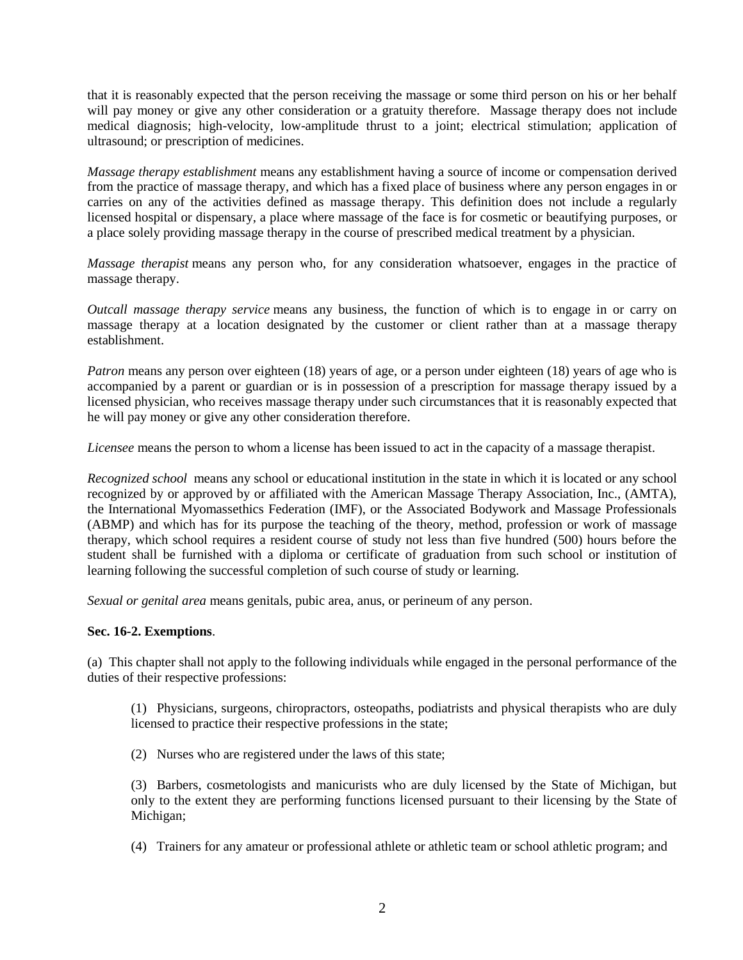that it is reasonably expected that the person receiving the massage or some third person on his or her behalf will pay money or give any other consideration or a gratuity therefore. Massage therapy does not include medical diagnosis; high-velocity, low-amplitude thrust to a joint; electrical stimulation; application of ultrasound; or prescription of medicines.

*Massage therapy establishment* means any establishment having a source of income or compensation derived from the practice of massage therapy, and which has a fixed place of business where any person engages in or carries on any of the activities defined as massage therapy. This definition does not include a regularly licensed hospital or dispensary, a place where massage of the face is for cosmetic or beautifying purposes, or a place solely providing massage therapy in the course of prescribed medical treatment by a physician.

*Massage therapist* means any person who, for any consideration whatsoever, engages in the practice of massage therapy.

*Outcall massage therapy service* means any business, the function of which is to engage in or carry on massage therapy at a location designated by the customer or client rather than at a massage therapy establishment.

*Patron* means any person over eighteen (18) years of age, or a person under eighteen (18) years of age who is accompanied by a parent or guardian or is in possession of a prescription for massage therapy issued by a licensed physician, who receives massage therapy under such circumstances that it is reasonably expected that he will pay money or give any other consideration therefore.

*Licensee* means the person to whom a license has been issued to act in the capacity of a massage therapist.

*Recognized school* means any school or educational institution in the state in which it is located or any school recognized by or approved by or affiliated with the American Massage Therapy Association, Inc., (AMTA), the International Myomassethics Federation (IMF), or the Associated Bodywork and Massage Professionals (ABMP) and which has for its purpose the teaching of the theory, method, profession or work of massage therapy, which school requires a resident course of study not less than five hundred (500) hours before the student shall be furnished with a diploma or certificate of graduation from such school or institution of learning following the successful completion of such course of study or learning.

*Sexual or genital area* means genitals, pubic area, anus, or perineum of any person.

#### **Sec. 16-2. Exemptions**.

(a) This chapter shall not apply to the following individuals while engaged in the personal performance of the duties of their respective professions:

(1) Physicians, surgeons, chiropractors, osteopaths, podiatrists and physical therapists who are duly licensed to practice their respective professions in the state;

(2) Nurses who are registered under the laws of this state;

(3) Barbers, cosmetologists and manicurists who are duly licensed by the State of Michigan, but only to the extent they are performing functions licensed pursuant to their licensing by the State of Michigan;

(4) Trainers for any amateur or professional athlete or athletic team or school athletic program; and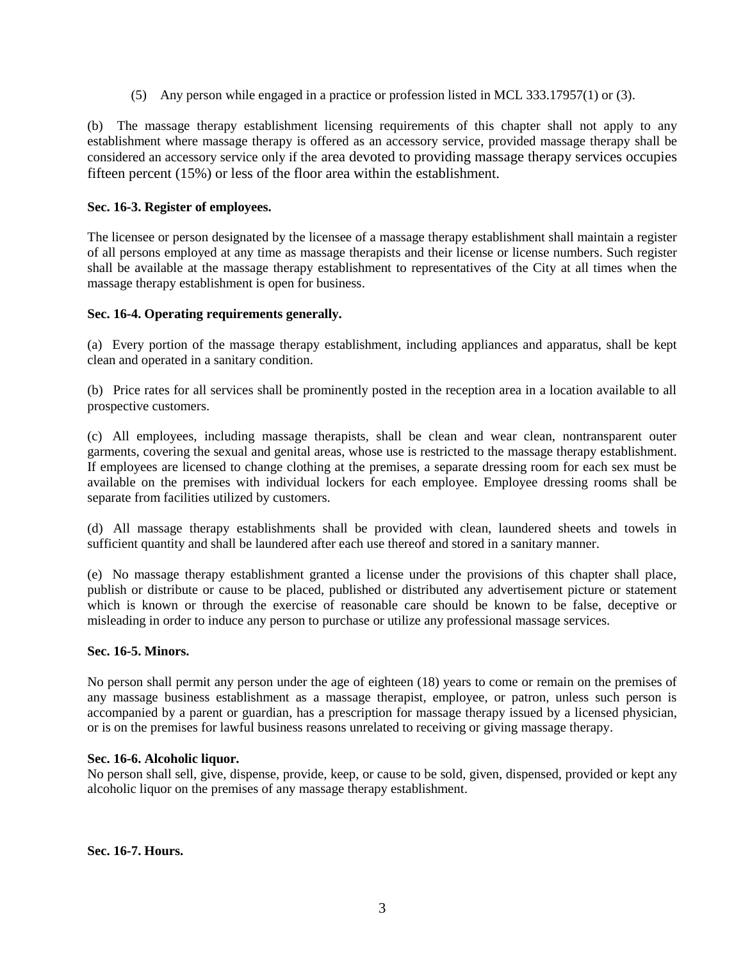(5) Any person while engaged in a practice or profession listed in MCL 333.17957(1) or (3).

(b) The massage therapy establishment licensing requirements of this chapter shall not apply to any establishment where massage therapy is offered as an accessory service, provided massage therapy shall be considered an accessory service only if the area devoted to providing massage therapy services occupies fifteen percent (15%) or less of the floor area within the establishment.

## **Sec. 16-3. Register of employees.**

The licensee or person designated by the licensee of a massage therapy establishment shall maintain a register of all persons employed at any time as massage therapists and their license or license numbers. Such register shall be available at the massage therapy establishment to representatives of the City at all times when the massage therapy establishment is open for business.

## **Sec. 16-4. Operating requirements generally.**

(a) Every portion of the massage therapy establishment, including appliances and apparatus, shall be kept clean and operated in a sanitary condition.

(b) Price rates for all services shall be prominently posted in the reception area in a location available to all prospective customers.

(c) All employees, including massage therapists, shall be clean and wear clean, nontransparent outer garments, covering the sexual and genital areas, whose use is restricted to the massage therapy establishment. If employees are licensed to change clothing at the premises, a separate dressing room for each sex must be available on the premises with individual lockers for each employee. Employee dressing rooms shall be separate from facilities utilized by customers.

(d) All massage therapy establishments shall be provided with clean, laundered sheets and towels in sufficient quantity and shall be laundered after each use thereof and stored in a sanitary manner.

(e) No massage therapy establishment granted a license under the provisions of this chapter shall place, publish or distribute or cause to be placed, published or distributed any advertisement picture or statement which is known or through the exercise of reasonable care should be known to be false, deceptive or misleading in order to induce any person to purchase or utilize any professional massage services.

## **Sec. 16-5. Minors.**

No person shall permit any person under the age of eighteen (18) years to come or remain on the premises of any massage business establishment as a massage therapist, employee, or patron, unless such person is accompanied by a parent or guardian, has a prescription for massage therapy issued by a licensed physician, or is on the premises for lawful business reasons unrelated to receiving or giving massage therapy.

#### **Sec. 16-6. Alcoholic liquor.**

No person shall sell, give, dispense, provide, keep, or cause to be sold, given, dispensed, provided or kept any alcoholic liquor on the premises of any massage therapy establishment.

**Sec. 16-7. Hours.**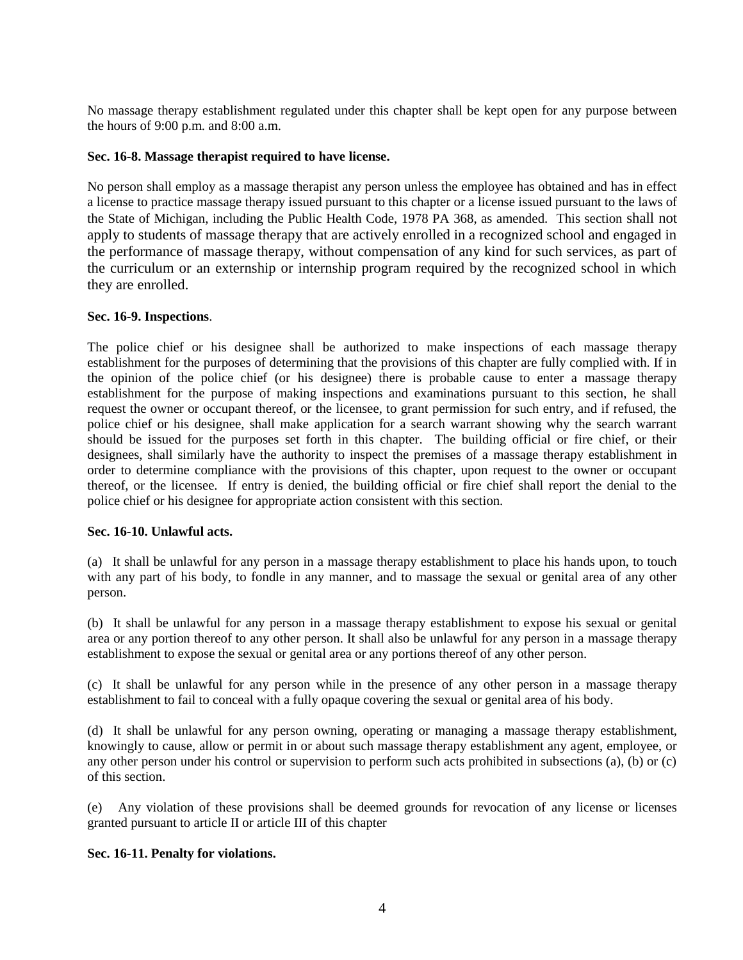No massage therapy establishment regulated under this chapter shall be kept open for any purpose between the hours of 9:00 p.m. and 8:00 a.m.

## **Sec. 16-8. Massage therapist required to have license.**

No person shall employ as a massage therapist any person unless the employee has obtained and has in effect a license to practice massage therapy issued pursuant to this chapter or a license issued pursuant to the laws of the State of Michigan, including the Public Health Code, 1978 PA 368, as amended. This section shall not apply to students of massage therapy that are actively enrolled in a recognized school and engaged in the performance of massage therapy, without compensation of any kind for such services, as part of the curriculum or an externship or internship program required by the recognized school in which they are enrolled.

## **Sec. 16-9. Inspections**.

The police chief or his designee shall be authorized to make inspections of each massage therapy establishment for the purposes of determining that the provisions of this chapter are fully complied with. If in the opinion of the police chief (or his designee) there is probable cause to enter a massage therapy establishment for the purpose of making inspections and examinations pursuant to this section, he shall request the owner or occupant thereof, or the licensee, to grant permission for such entry, and if refused, the police chief or his designee, shall make application for a search warrant showing why the search warrant should be issued for the purposes set forth in this chapter. The building official or fire chief, or their designees, shall similarly have the authority to inspect the premises of a massage therapy establishment in order to determine compliance with the provisions of this chapter, upon request to the owner or occupant thereof, or the licensee. If entry is denied, the building official or fire chief shall report the denial to the police chief or his designee for appropriate action consistent with this section.

## **Sec. 16-10. Unlawful acts.**

(a) It shall be unlawful for any person in a massage therapy establishment to place his hands upon, to touch with any part of his body, to fondle in any manner, and to massage the sexual or genital area of any other person.

(b) It shall be unlawful for any person in a massage therapy establishment to expose his sexual or genital area or any portion thereof to any other person. It shall also be unlawful for any person in a massage therapy establishment to expose the sexual or genital area or any portions thereof of any other person.

(c) It shall be unlawful for any person while in the presence of any other person in a massage therapy establishment to fail to conceal with a fully opaque covering the sexual or genital area of his body.

(d) It shall be unlawful for any person owning, operating or managing a massage therapy establishment, knowingly to cause, allow or permit in or about such massage therapy establishment any agent, employee, or any other person under his control or supervision to perform such acts prohibited in subsections (a), (b) or (c) of this section.

(e) Any violation of these provisions shall be deemed grounds for revocation of any license or licenses granted pursuant to article II or article III of this chapter

## **Sec. 16-11. Penalty for violations.**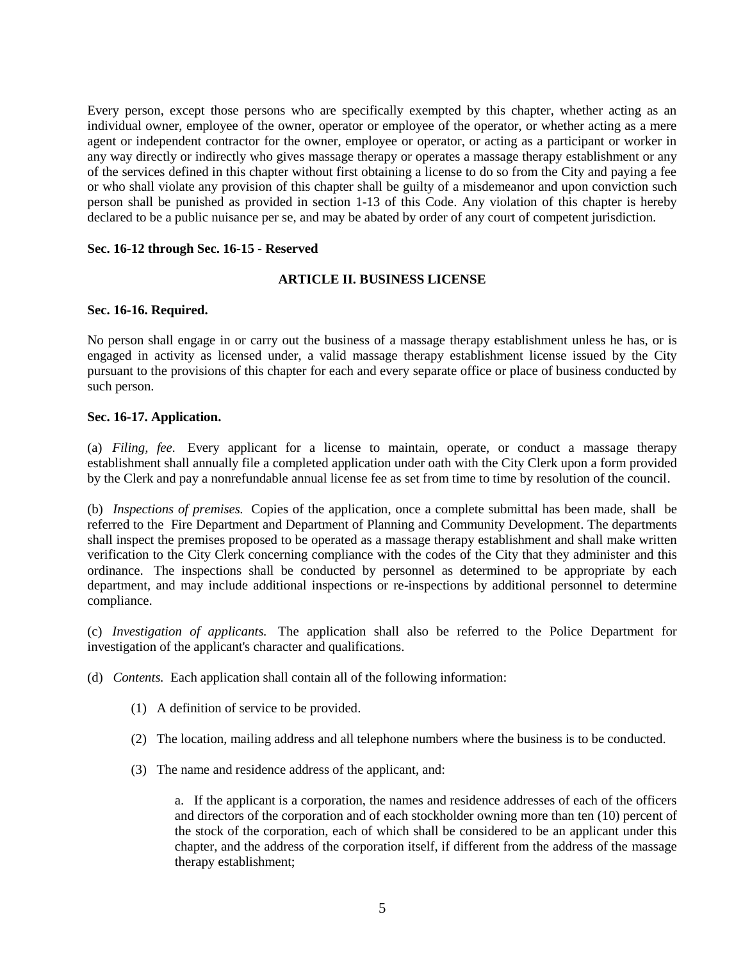Every person, except those persons who are specifically exempted by this chapter, whether acting as an individual owner, employee of the owner, operator or employee of the operator, or whether acting as a mere agent or independent contractor for the owner, employee or operator, or acting as a participant or worker in any way directly or indirectly who gives massage therapy or operates a massage therapy establishment or any of the services defined in this chapter without first obtaining a license to do so from the City and paying a fee or who shall violate any provision of this chapter shall be guilty of a misdemeanor and upon conviction such person shall be punished as provided in section 1-13 of this Code. Any violation of this chapter is hereby declared to be a public nuisance per se, and may be abated by order of any court of competent jurisdiction.

#### **Sec. 16-12 through Sec. 16-15 - Reserved**

## **ARTICLE II. BUSINESS LICENSE**

#### **Sec. 16-16. Required.**

No person shall engage in or carry out the business of a massage therapy establishment unless he has, or is engaged in activity as licensed under, a valid massage therapy establishment license issued by the City pursuant to the provisions of this chapter for each and every separate office or place of business conducted by such person.

#### **Sec. 16-17. Application.**

(a) *Filing, fee.* Every applicant for a license to maintain, operate, or conduct a massage therapy establishment shall annually file a completed application under oath with the City Clerk upon a form provided by the Clerk and pay a nonrefundable annual license fee as set from time to time by resolution of the council.

(b) *Inspections of premises.* Copies of the application, once a complete submittal has been made, shall be referred to the Fire Department and Department of Planning and Community Development. The departments shall inspect the premises proposed to be operated as a massage therapy establishment and shall make written verification to the City Clerk concerning compliance with the codes of the City that they administer and this ordinance. The inspections shall be conducted by personnel as determined to be appropriate by each department, and may include additional inspections or re-inspections by additional personnel to determine compliance.

(c) *Investigation of applicants.* The application shall also be referred to the Police Department for investigation of the applicant's character and qualifications.

(d) *Contents.* Each application shall contain all of the following information:

- (1) A definition of service to be provided.
- (2) The location, mailing address and all telephone numbers where the business is to be conducted.
- (3) The name and residence address of the applicant, and:

a. If the applicant is a corporation, the names and residence addresses of each of the officers and directors of the corporation and of each stockholder owning more than ten (10) percent of the stock of the corporation, each of which shall be considered to be an applicant under this chapter, and the address of the corporation itself, if different from the address of the massage therapy establishment;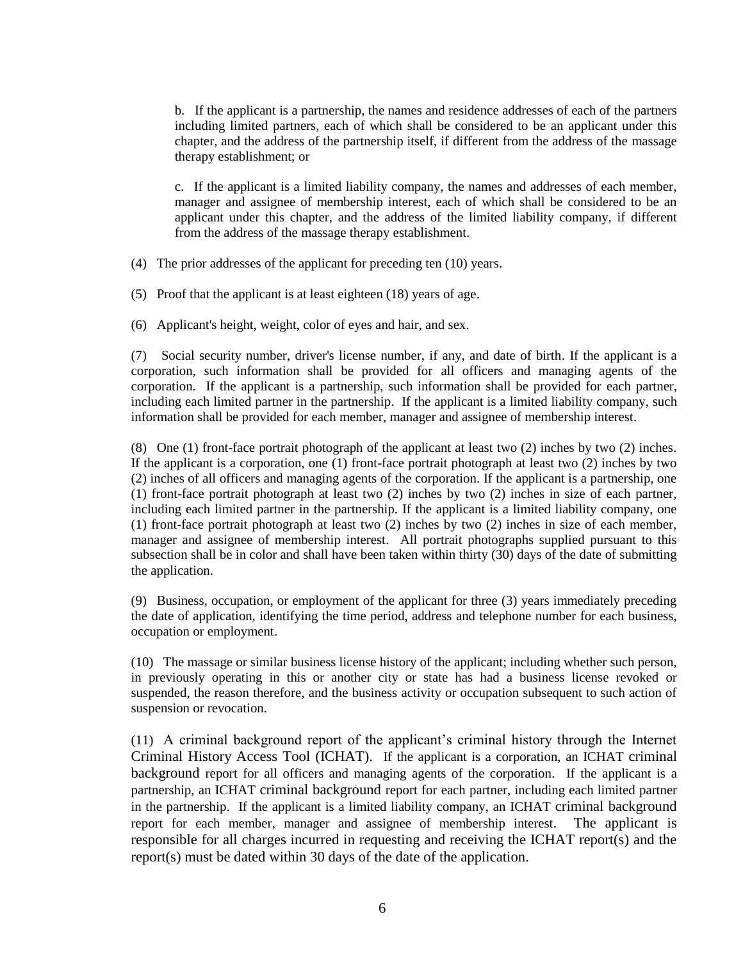b. If the applicant is a partnership, the names and residence addresses of each of the partners including limited partners, each of which shall be considered to be an applicant under this chapter, and the address of the partnership itself, if different from the address of the massage therapy establishment; or

c. If the applicant is a limited liability company, the names and addresses of each member, manager and assignee of membership interest, each of which shall be considered to be an applicant under this chapter, and the address of the limited liability company, if different from the address of the massage therapy establishment.

- (4) The prior addresses of the applicant for preceding ten (10) years.
- (5) Proof that the applicant is at least eighteen (18) years of age.
- (6) Applicant's height, weight, color of eyes and hair, and sex.

(7) Social security number, driver's license number, if any, and date of birth. If the applicant is a corporation, such information shall be provided for all officers and managing agents of the corporation. If the applicant is a partnership, such information shall be provided for each partner, including each limited partner in the partnership. If the applicant is a limited liability company, such information shall be provided for each member, manager and assignee of membership interest.

(8) One (1) front-face portrait photograph of the applicant at least two (2) inches by two (2) inches. If the applicant is a corporation, one (1) front-face portrait photograph at least two (2) inches by two (2) inches of all officers and managing agents of the corporation. If the applicant is a partnership, one (1) front-face portrait photograph at least two (2) inches by two (2) inches in size of each partner, including each limited partner in the partnership. If the applicant is a limited liability company, one  $(1)$  front-face portrait photograph at least two  $(2)$  inches by two  $(2)$  inches in size of each member, manager and assignee of membership interest. All portrait photographs supplied pursuant to this subsection shall be in color and shall have been taken within thirty (30) days of the date of submitting the application.

(9) Business, occupation, or employment of the applicant for three (3) years immediately preceding the date of application, identifying the time period, address and telephone number for each business, occupation or employment.

(10) The massage or similar business license history of the applicant; including whether such person, in previously operating in this or another city or state has had a business license revoked or suspended, the reason therefore, and the business activity or occupation subsequent to such action of suspension or revocation.

(11) A criminal background report of the applicant's criminal history through the Internet Criminal History Access Tool (ICHAT). If the applicant is a corporation, an ICHAT criminal background report for all officers and managing agents of the corporation. If the applicant is a partnership, an ICHAT criminal background report for each partner, including each limited partner in the partnership. If the applicant is a limited liability company, an ICHAT criminal background report for each member, manager and assignee of membership interest. The applicant is responsible for all charges incurred in requesting and receiving the ICHAT report(s) and the report(s) must be dated within 30 days of the date of the application.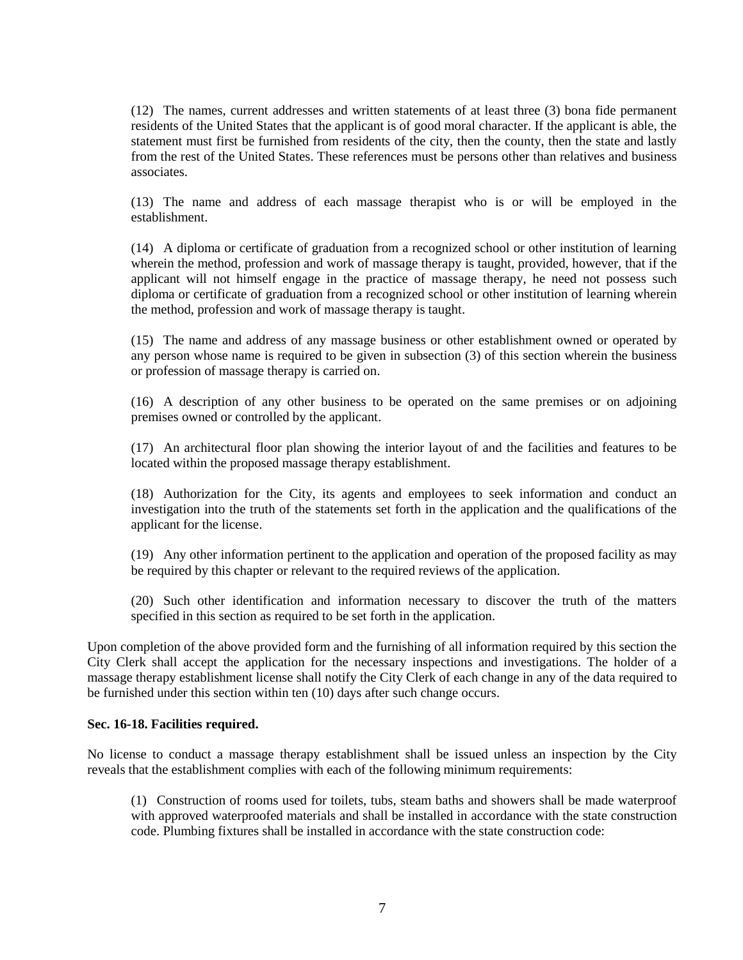(12) The names, current addresses and written statements of at least three (3) bona fide permanent residents of the United States that the applicant is of good moral character. If the applicant is able, the statement must first be furnished from residents of the city, then the county, then the state and lastly from the rest of the United States. These references must be persons other than relatives and business associates.

(13) The name and address of each massage therapist who is or will be employed in the establishment.

(14) A diploma or certificate of graduation from a recognized school or other institution of learning wherein the method, profession and work of massage therapy is taught, provided, however, that if the applicant will not himself engage in the practice of massage therapy, he need not possess such diploma or certificate of graduation from a recognized school or other institution of learning wherein the method, profession and work of massage therapy is taught.

(15) The name and address of any massage business or other establishment owned or operated by any person whose name is required to be given in subsection (3) of this section wherein the business or profession of massage therapy is carried on.

(16) A description of any other business to be operated on the same premises or on adjoining premises owned or controlled by the applicant.

(17) An architectural floor plan showing the interior layout of and the facilities and features to be located within the proposed massage therapy establishment.

(18) Authorization for the City, its agents and employees to seek information and conduct an investigation into the truth of the statements set forth in the application and the qualifications of the applicant for the license.

(19) Any other information pertinent to the application and operation of the proposed facility as may be required by this chapter or relevant to the required reviews of the application.

(20) Such other identification and information necessary to discover the truth of the matters specified in this section as required to be set forth in the application.

Upon completion of the above provided form and the furnishing of all information required by this section the City Clerk shall accept the application for the necessary inspections and investigations. The holder of a massage therapy establishment license shall notify the City Clerk of each change in any of the data required to be furnished under this section within ten (10) days after such change occurs.

#### **Sec. 16-18. Facilities required.**

No license to conduct a massage therapy establishment shall be issued unless an inspection by the City reveals that the establishment complies with each of the following minimum requirements:

(1) Construction of rooms used for toilets, tubs, steam baths and showers shall be made waterproof with approved waterproofed materials and shall be installed in accordance with the state construction code. Plumbing fixtures shall be installed in accordance with the state construction code: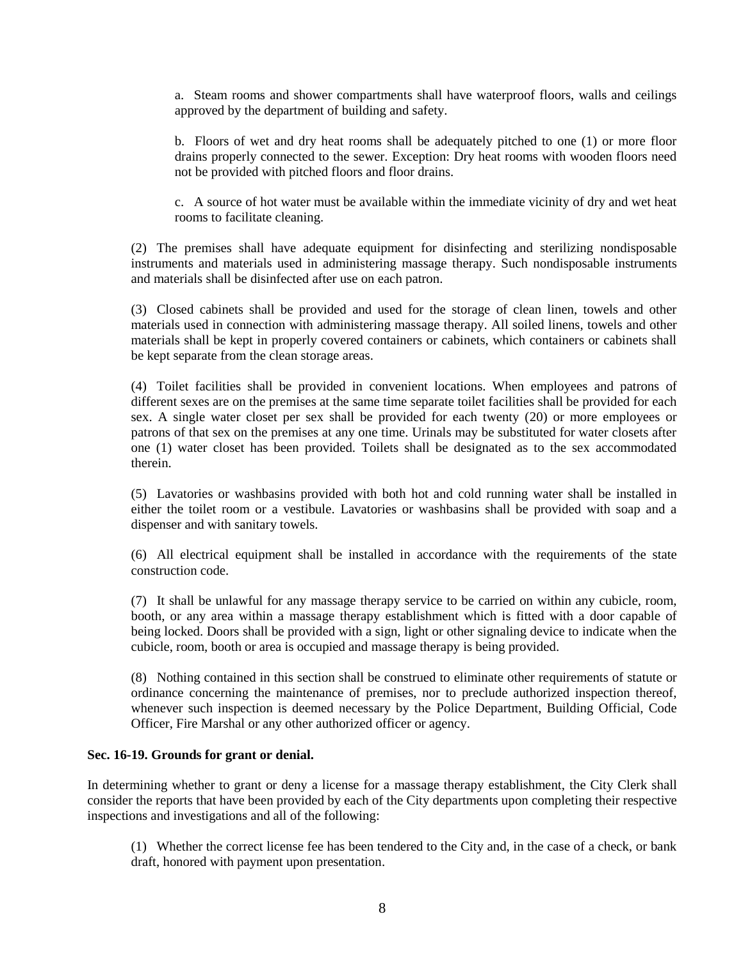a. Steam rooms and shower compartments shall have waterproof floors, walls and ceilings approved by the department of building and safety.

b. Floors of wet and dry heat rooms shall be adequately pitched to one (1) or more floor drains properly connected to the sewer. Exception: Dry heat rooms with wooden floors need not be provided with pitched floors and floor drains.

c. A source of hot water must be available within the immediate vicinity of dry and wet heat rooms to facilitate cleaning.

(2) The premises shall have adequate equipment for disinfecting and sterilizing nondisposable instruments and materials used in administering massage therapy. Such nondisposable instruments and materials shall be disinfected after use on each patron.

(3) Closed cabinets shall be provided and used for the storage of clean linen, towels and other materials used in connection with administering massage therapy. All soiled linens, towels and other materials shall be kept in properly covered containers or cabinets, which containers or cabinets shall be kept separate from the clean storage areas.

(4) Toilet facilities shall be provided in convenient locations. When employees and patrons of different sexes are on the premises at the same time separate toilet facilities shall be provided for each sex. A single water closet per sex shall be provided for each twenty (20) or more employees or patrons of that sex on the premises at any one time. Urinals may be substituted for water closets after one (1) water closet has been provided. Toilets shall be designated as to the sex accommodated therein.

(5) Lavatories or washbasins provided with both hot and cold running water shall be installed in either the toilet room or a vestibule. Lavatories or washbasins shall be provided with soap and a dispenser and with sanitary towels.

(6) All electrical equipment shall be installed in accordance with the requirements of the state construction code.

(7) It shall be unlawful for any massage therapy service to be carried on within any cubicle, room, booth, or any area within a massage therapy establishment which is fitted with a door capable of being locked. Doors shall be provided with a sign, light or other signaling device to indicate when the cubicle, room, booth or area is occupied and massage therapy is being provided.

(8) Nothing contained in this section shall be construed to eliminate other requirements of statute or ordinance concerning the maintenance of premises, nor to preclude authorized inspection thereof, whenever such inspection is deemed necessary by the Police Department, Building Official, Code Officer, Fire Marshal or any other authorized officer or agency.

## **Sec. 16-19. Grounds for grant or denial.**

In determining whether to grant or deny a license for a massage therapy establishment, the City Clerk shall consider the reports that have been provided by each of the City departments upon completing their respective inspections and investigations and all of the following:

(1) Whether the correct license fee has been tendered to the City and, in the case of a check, or bank draft, honored with payment upon presentation.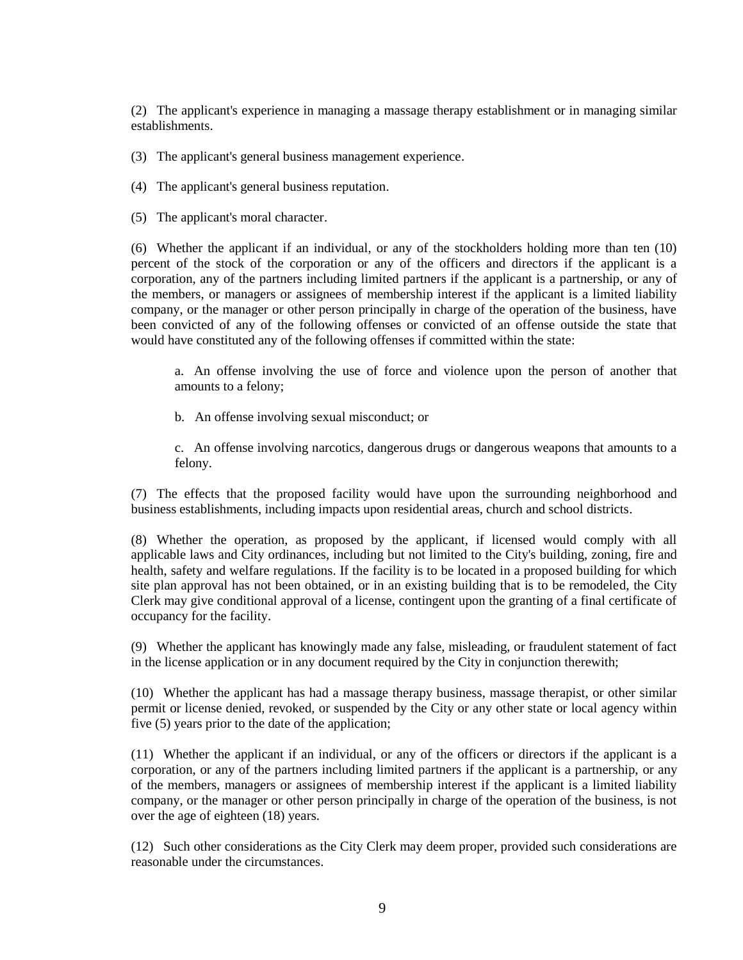(2) The applicant's experience in managing a massage therapy establishment or in managing similar establishments.

(3) The applicant's general business management experience.

(4) The applicant's general business reputation.

(5) The applicant's moral character.

(6) Whether the applicant if an individual, or any of the stockholders holding more than ten (10) percent of the stock of the corporation or any of the officers and directors if the applicant is a corporation, any of the partners including limited partners if the applicant is a partnership, or any of the members, or managers or assignees of membership interest if the applicant is a limited liability company, or the manager or other person principally in charge of the operation of the business, have been convicted of any of the following offenses or convicted of an offense outside the state that would have constituted any of the following offenses if committed within the state:

a. An offense involving the use of force and violence upon the person of another that amounts to a felony;

b. An offense involving sexual misconduct; or

c. An offense involving narcotics, dangerous drugs or dangerous weapons that amounts to a felony.

(7) The effects that the proposed facility would have upon the surrounding neighborhood and business establishments, including impacts upon residential areas, church and school districts.

(8) Whether the operation, as proposed by the applicant, if licensed would comply with all applicable laws and City ordinances, including but not limited to the City's building, zoning, fire and health, safety and welfare regulations. If the facility is to be located in a proposed building for which site plan approval has not been obtained, or in an existing building that is to be remodeled, the City Clerk may give conditional approval of a license, contingent upon the granting of a final certificate of occupancy for the facility.

(9) Whether the applicant has knowingly made any false, misleading, or fraudulent statement of fact in the license application or in any document required by the City in conjunction therewith;

(10) Whether the applicant has had a massage therapy business, massage therapist, or other similar permit or license denied, revoked, or suspended by the City or any other state or local agency within five (5) years prior to the date of the application;

(11) Whether the applicant if an individual, or any of the officers or directors if the applicant is a corporation, or any of the partners including limited partners if the applicant is a partnership, or any of the members, managers or assignees of membership interest if the applicant is a limited liability company, or the manager or other person principally in charge of the operation of the business, is not over the age of eighteen (18) years.

(12) Such other considerations as the City Clerk may deem proper, provided such considerations are reasonable under the circumstances.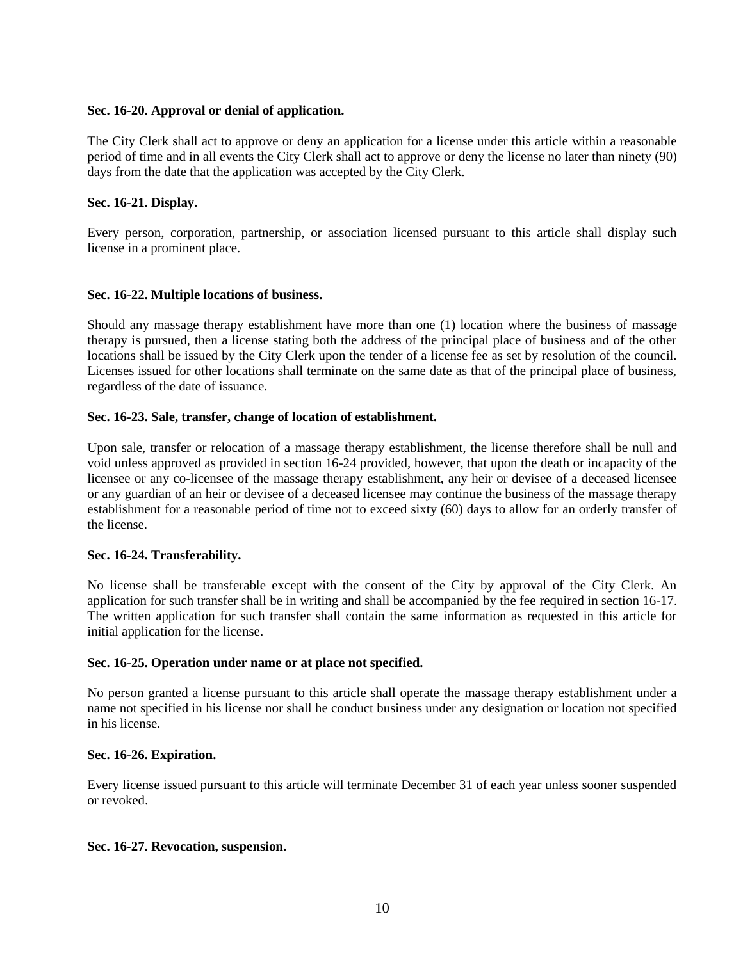## **Sec. 16-20. Approval or denial of application.**

The City Clerk shall act to approve or deny an application for a license under this article within a reasonable period of time and in all events the City Clerk shall act to approve or deny the license no later than ninety (90) days from the date that the application was accepted by the City Clerk.

## **Sec. 16-21. Display.**

Every person, corporation, partnership, or association licensed pursuant to this article shall display such license in a prominent place.

## **Sec. 16-22. Multiple locations of business.**

Should any massage therapy establishment have more than one (1) location where the business of massage therapy is pursued, then a license stating both the address of the principal place of business and of the other locations shall be issued by the City Clerk upon the tender of a license fee as set by resolution of the council. Licenses issued for other locations shall terminate on the same date as that of the principal place of business, regardless of the date of issuance.

## **Sec. 16-23. Sale, transfer, change of location of establishment.**

Upon sale, transfer or relocation of a massage therapy establishment, the license therefore shall be null and void unless approved as provided in section 16-24 provided, however, that upon the death or incapacity of the licensee or any co-licensee of the massage therapy establishment, any heir or devisee of a deceased licensee or any guardian of an heir or devisee of a deceased licensee may continue the business of the massage therapy establishment for a reasonable period of time not to exceed sixty (60) days to allow for an orderly transfer of the license.

## **Sec. 16-24. Transferability.**

No license shall be transferable except with the consent of the City by approval of the City Clerk. An application for such transfer shall be in writing and shall be accompanied by the fee required in section 16-17. The written application for such transfer shall contain the same information as requested in this article for initial application for the license.

## **Sec. 16-25. Operation under name or at place not specified.**

No person granted a license pursuant to this article shall operate the massage therapy establishment under a name not specified in his license nor shall he conduct business under any designation or location not specified in his license.

## **Sec. 16-26. Expiration.**

Every license issued pursuant to this article will terminate December 31 of each year unless sooner suspended or revoked.

## **Sec. 16-27. Revocation, suspension.**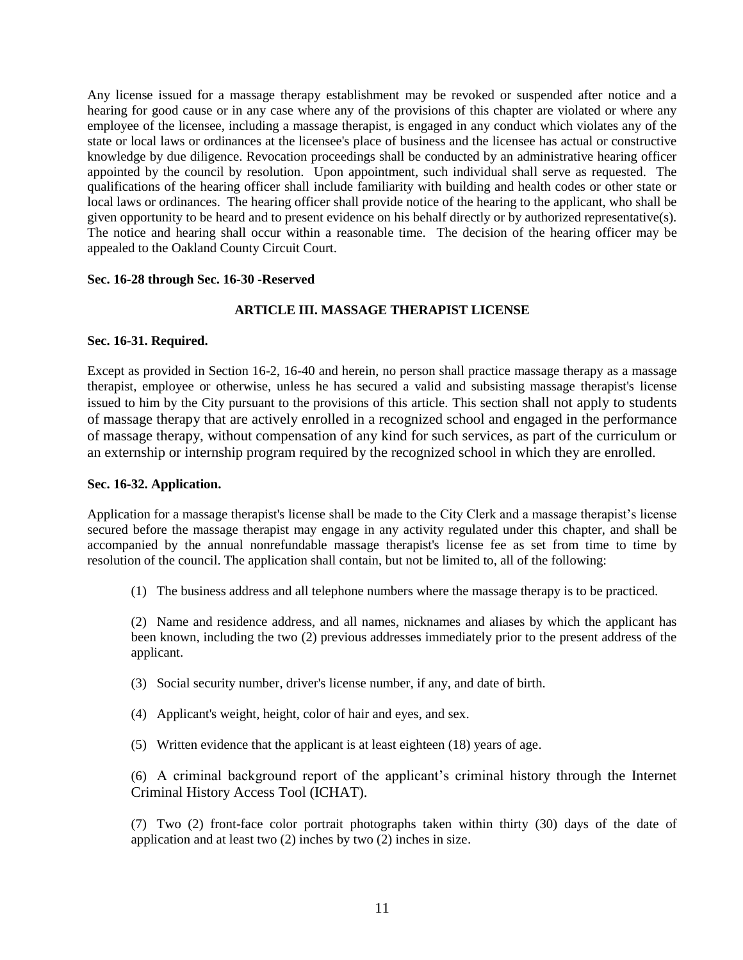Any license issued for a massage therapy establishment may be revoked or suspended after notice and a hearing for good cause or in any case where any of the provisions of this chapter are violated or where any employee of the licensee, including a massage therapist, is engaged in any conduct which violates any of the state or local laws or ordinances at the licensee's place of business and the licensee has actual or constructive knowledge by due diligence. Revocation proceedings shall be conducted by an administrative hearing officer appointed by the council by resolution. Upon appointment, such individual shall serve as requested. The qualifications of the hearing officer shall include familiarity with building and health codes or other state or local laws or ordinances. The hearing officer shall provide notice of the hearing to the applicant, who shall be given opportunity to be heard and to present evidence on his behalf directly or by authorized representative(s). The notice and hearing shall occur within a reasonable time. The decision of the hearing officer may be appealed to the Oakland County Circuit Court.

#### **Sec. 16-28 through Sec. 16-30 -Reserved**

## **ARTICLE III. MASSAGE THERAPIST LICENSE**

#### **Sec. 16-31. Required.**

Except as provided in Section 16-2, 16-40 and herein, no person shall practice massage therapy as a massage therapist, employee or otherwise, unless he has secured a valid and subsisting massage therapist's license issued to him by the City pursuant to the provisions of this article. This section shall not apply to students of massage therapy that are actively enrolled in a recognized school and engaged in the performance of massage therapy, without compensation of any kind for such services, as part of the curriculum or an externship or internship program required by the recognized school in which they are enrolled.

#### **Sec. 16-32. Application.**

Application for a massage therapist's license shall be made to the City Clerk and a massage therapist's license secured before the massage therapist may engage in any activity regulated under this chapter, and shall be accompanied by the annual nonrefundable massage therapist's license fee as set from time to time by resolution of the council. The application shall contain, but not be limited to, all of the following:

(1) The business address and all telephone numbers where the massage therapy is to be practiced.

(2) Name and residence address, and all names, nicknames and aliases by which the applicant has been known, including the two (2) previous addresses immediately prior to the present address of the applicant.

- (3) Social security number, driver's license number, if any, and date of birth.
- (4) Applicant's weight, height, color of hair and eyes, and sex.
- (5) Written evidence that the applicant is at least eighteen (18) years of age.

(6) A criminal background report of the applicant's criminal history through the Internet Criminal History Access Tool (ICHAT).

(7) Two (2) front-face color portrait photographs taken within thirty (30) days of the date of application and at least two (2) inches by two (2) inches in size.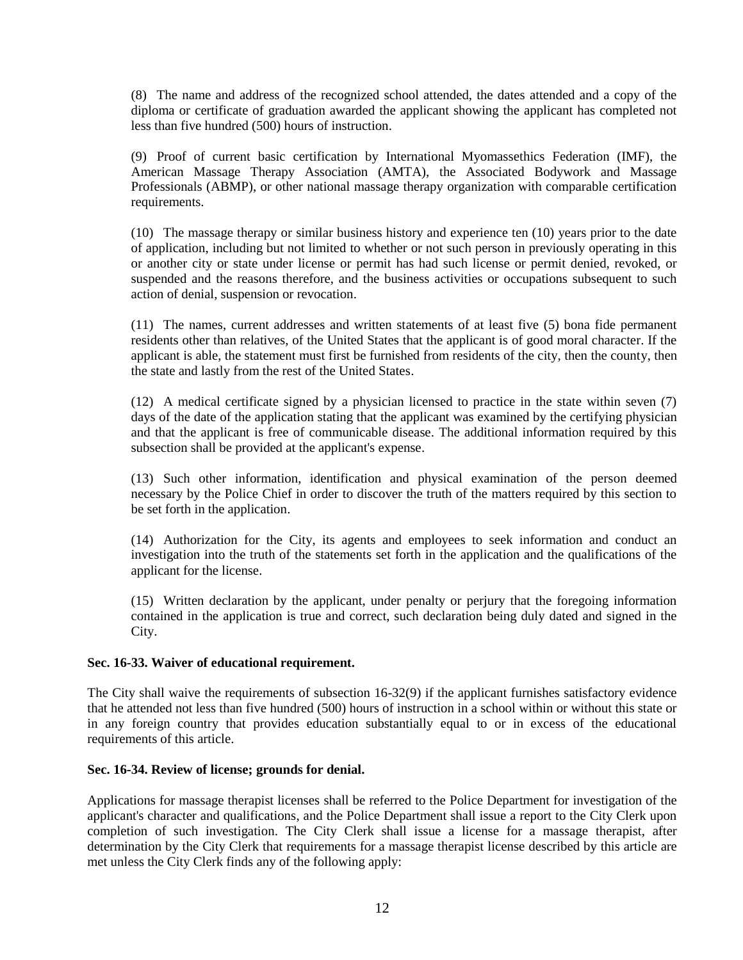(8) The name and address of the recognized school attended, the dates attended and a copy of the diploma or certificate of graduation awarded the applicant showing the applicant has completed not less than five hundred (500) hours of instruction.

(9) Proof of current basic certification by International Myomassethics Federation (IMF), the American Massage Therapy Association (AMTA), the Associated Bodywork and Massage Professionals (ABMP), or other national massage therapy organization with comparable certification requirements.

(10) The massage therapy or similar business history and experience ten (10) years prior to the date of application, including but not limited to whether or not such person in previously operating in this or another city or state under license or permit has had such license or permit denied, revoked, or suspended and the reasons therefore, and the business activities or occupations subsequent to such action of denial, suspension or revocation.

(11) The names, current addresses and written statements of at least five (5) bona fide permanent residents other than relatives, of the United States that the applicant is of good moral character. If the applicant is able, the statement must first be furnished from residents of the city, then the county, then the state and lastly from the rest of the United States.

(12) A medical certificate signed by a physician licensed to practice in the state within seven (7) days of the date of the application stating that the applicant was examined by the certifying physician and that the applicant is free of communicable disease. The additional information required by this subsection shall be provided at the applicant's expense.

(13) Such other information, identification and physical examination of the person deemed necessary by the Police Chief in order to discover the truth of the matters required by this section to be set forth in the application.

(14) Authorization for the City, its agents and employees to seek information and conduct an investigation into the truth of the statements set forth in the application and the qualifications of the applicant for the license.

(15) Written declaration by the applicant, under penalty or perjury that the foregoing information contained in the application is true and correct, such declaration being duly dated and signed in the City.

## **Sec. 16-33. Waiver of educational requirement.**

The City shall waive the requirements of subsection 16-32(9) if the applicant furnishes satisfactory evidence that he attended not less than five hundred (500) hours of instruction in a school within or without this state or in any foreign country that provides education substantially equal to or in excess of the educational requirements of this article.

## **Sec. 16-34. Review of license; grounds for denial.**

Applications for massage therapist licenses shall be referred to the Police Department for investigation of the applicant's character and qualifications, and the Police Department shall issue a report to the City Clerk upon completion of such investigation. The City Clerk shall issue a license for a massage therapist, after determination by the City Clerk that requirements for a massage therapist license described by this article are met unless the City Clerk finds any of the following apply: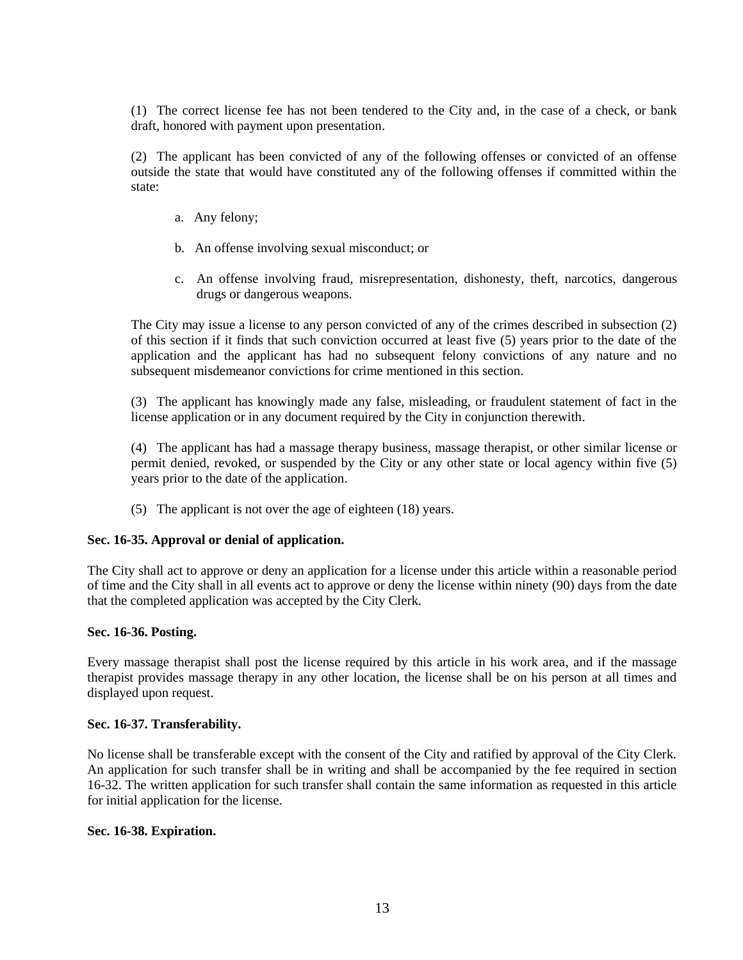(1) The correct license fee has not been tendered to the City and, in the case of a check, or bank draft, honored with payment upon presentation.

(2) The applicant has been convicted of any of the following offenses or convicted of an offense outside the state that would have constituted any of the following offenses if committed within the state:

- a. Any felony;
- b. An offense involving sexual misconduct; or
- c. An offense involving fraud, misrepresentation, dishonesty, theft, narcotics, dangerous drugs or dangerous weapons.

The City may issue a license to any person convicted of any of the crimes described in subsection (2) of this section if it finds that such conviction occurred at least five (5) years prior to the date of the application and the applicant has had no subsequent felony convictions of any nature and no subsequent misdemeanor convictions for crime mentioned in this section.

(3) The applicant has knowingly made any false, misleading, or fraudulent statement of fact in the license application or in any document required by the City in conjunction therewith.

(4) The applicant has had a massage therapy business, massage therapist, or other similar license or permit denied, revoked, or suspended by the City or any other state or local agency within five (5) years prior to the date of the application.

(5) The applicant is not over the age of eighteen (18) years.

#### **Sec. 16-35. Approval or denial of application.**

The City shall act to approve or deny an application for a license under this article within a reasonable period of time and the City shall in all events act to approve or deny the license within ninety (90) days from the date that the completed application was accepted by the City Clerk.

#### **Sec. 16-36. Posting.**

Every massage therapist shall post the license required by this article in his work area, and if the massage therapist provides massage therapy in any other location, the license shall be on his person at all times and displayed upon request.

#### **Sec. 16-37. Transferability.**

No license shall be transferable except with the consent of the City and ratified by approval of the City Clerk. An application for such transfer shall be in writing and shall be accompanied by the fee required in section 16-32. The written application for such transfer shall contain the same information as requested in this article for initial application for the license.

#### **Sec. 16-38. Expiration.**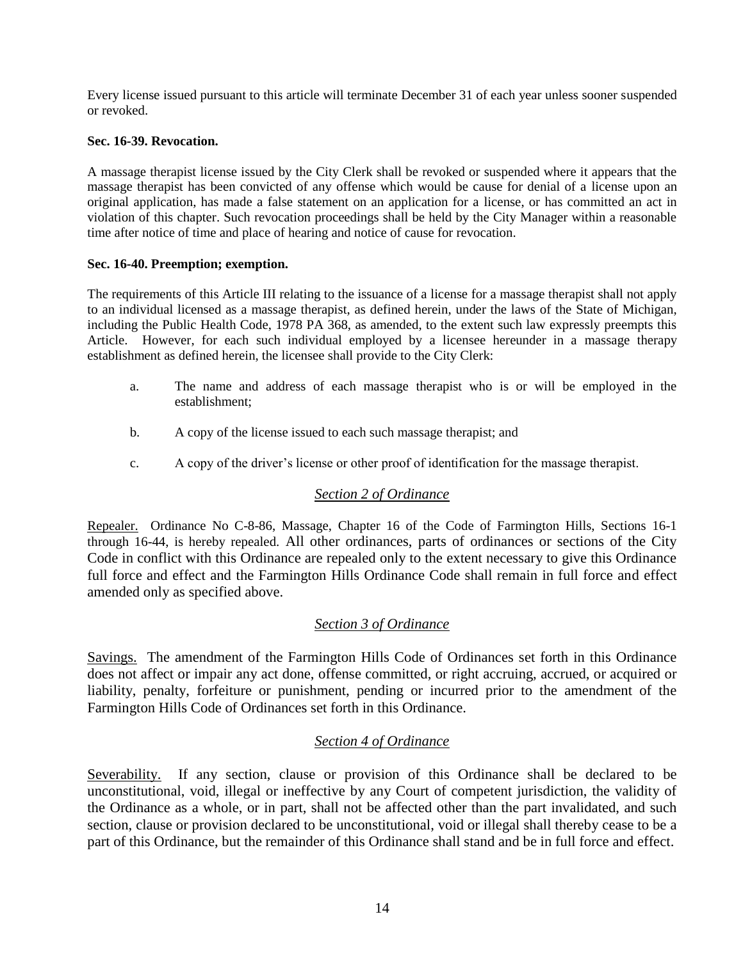Every license issued pursuant to this article will terminate December 31 of each year unless sooner suspended or revoked.

## **Sec. 16-39. Revocation.**

A massage therapist license issued by the City Clerk shall be revoked or suspended where it appears that the massage therapist has been convicted of any offense which would be cause for denial of a license upon an original application, has made a false statement on an application for a license, or has committed an act in violation of this chapter. Such revocation proceedings shall be held by the City Manager within a reasonable time after notice of time and place of hearing and notice of cause for revocation.

## **Sec. 16-40. Preemption; exemption.**

The requirements of this Article III relating to the issuance of a license for a massage therapist shall not apply to an individual licensed as a massage therapist, as defined herein, under the laws of the State of Michigan, including the Public Health Code, 1978 PA 368, as amended, to the extent such law expressly preempts this Article. However, for each such individual employed by a licensee hereunder in a massage therapy establishment as defined herein, the licensee shall provide to the City Clerk:

- a. The name and address of each massage therapist who is or will be employed in the establishment;
- b. A copy of the license issued to each such massage therapist; and
- c. A copy of the driver's license or other proof of identification for the massage therapist.

## *Section 2 of Ordinance*

Repealer. Ordinance No C-8-86, Massage, Chapter 16 of the Code of Farmington Hills, Sections 16-1 through 16-44, is hereby repealed. All other ordinances, parts of ordinances or sections of the City Code in conflict with this Ordinance are repealed only to the extent necessary to give this Ordinance full force and effect and the Farmington Hills Ordinance Code shall remain in full force and effect amended only as specified above.

## *Section 3 of Ordinance*

Savings. The amendment of the Farmington Hills Code of Ordinances set forth in this Ordinance does not affect or impair any act done, offense committed, or right accruing, accrued, or acquired or liability, penalty, forfeiture or punishment, pending or incurred prior to the amendment of the Farmington Hills Code of Ordinances set forth in this Ordinance.

## *Section 4 of Ordinance*

Severability. If any section, clause or provision of this Ordinance shall be declared to be unconstitutional, void, illegal or ineffective by any Court of competent jurisdiction, the validity of the Ordinance as a whole, or in part, shall not be affected other than the part invalidated, and such section, clause or provision declared to be unconstitutional, void or illegal shall thereby cease to be a part of this Ordinance, but the remainder of this Ordinance shall stand and be in full force and effect.